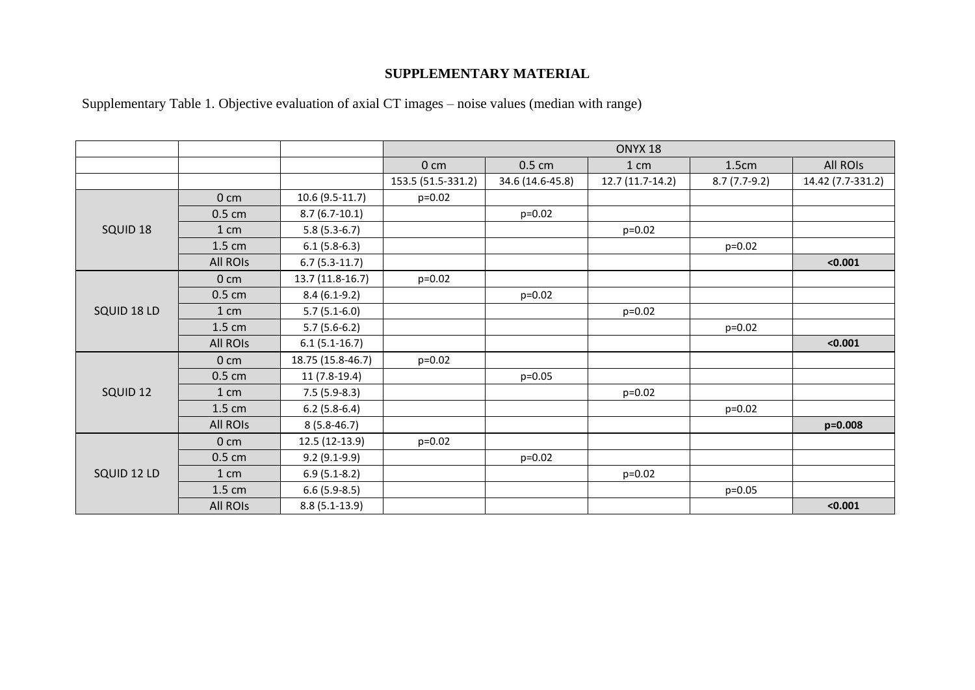## **SUPPLEMENTARY MATERIAL**

Supplementary Table 1. Objective evaluation of axial CT images – noise values (median with range)

|             |                  |                   | ONYX <sub>18</sub> |                  |                  |                |                   |
|-------------|------------------|-------------------|--------------------|------------------|------------------|----------------|-------------------|
|             |                  |                   | 0 <sub>cm</sub>    | $0.5 \text{ cm}$ | 1 cm             | 1.5cm          | All ROIs          |
|             |                  |                   | 153.5 (51.5-331.2) | 34.6 (14.6-45.8) | 12.7 (11.7-14.2) | $8.7(7.7-9.2)$ | 14.42 (7.7-331.2) |
|             | 0 <sub>cm</sub>  | $10.6(9.5-11.7)$  | $p=0.02$           |                  |                  |                |                   |
|             | $0.5 \text{ cm}$ | $8.7(6.7-10.1)$   |                    | $p=0.02$         |                  |                |                   |
| SQUID 18    | 1 cm             | $5.8(5.3-6.7)$    |                    |                  | $p=0.02$         |                |                   |
|             | 1.5 cm           | $6.1(5.8-6.3)$    |                    |                  |                  | $p=0.02$       |                   |
|             | All ROIs         | $6.7(5.3-11.7)$   |                    |                  |                  |                | < 0.001           |
|             | 0 <sub>cm</sub>  | 13.7 (11.8-16.7)  | $p=0.02$           |                  |                  |                |                   |
|             | $0.5 \text{ cm}$ | $8.4(6.1-9.2)$    |                    | $p=0.02$         |                  |                |                   |
| SQUID 18 LD | 1 cm             | $5.7(5.1-6.0)$    |                    |                  | $p=0.02$         |                |                   |
|             | $1.5 \text{ cm}$ | $5.7(5.6-6.2)$    |                    |                  |                  | $p=0.02$       |                   |
|             | <b>All ROIS</b>  | $6.1(5.1-16.7)$   |                    |                  |                  |                | < 0.001           |
|             | 0 <sub>cm</sub>  | 18.75 (15.8-46.7) | $p=0.02$           |                  |                  |                |                   |
|             | $0.5 \text{ cm}$ | $11(7.8-19.4)$    |                    | $p=0.05$         |                  |                |                   |
| SQUID 12    | 1 cm             | $7.5(5.9-8.3)$    |                    |                  | $p=0.02$         |                |                   |
|             | 1.5 cm           | $6.2(5.8-6.4)$    |                    |                  |                  | $p=0.02$       |                   |
|             | All ROIS         | $8(5.8-46.7)$     |                    |                  |                  |                | $p = 0.008$       |
|             | 0 <sub>cm</sub>  | 12.5 (12-13.9)    | $p=0.02$           |                  |                  |                |                   |
|             | $0.5 \text{ cm}$ | $9.2(9.1-9.9)$    |                    | $p=0.02$         |                  |                |                   |
| SQUID 12 LD | 1 cm             | $6.9(5.1-8.2)$    |                    |                  | $p=0.02$         |                |                   |
|             | $1.5 \text{ cm}$ | $6.6(5.9-8.5)$    |                    |                  |                  | $p=0.05$       |                   |
|             | <b>All ROIS</b>  | $8.8(5.1-13.9)$   |                    |                  |                  |                | < 0.001           |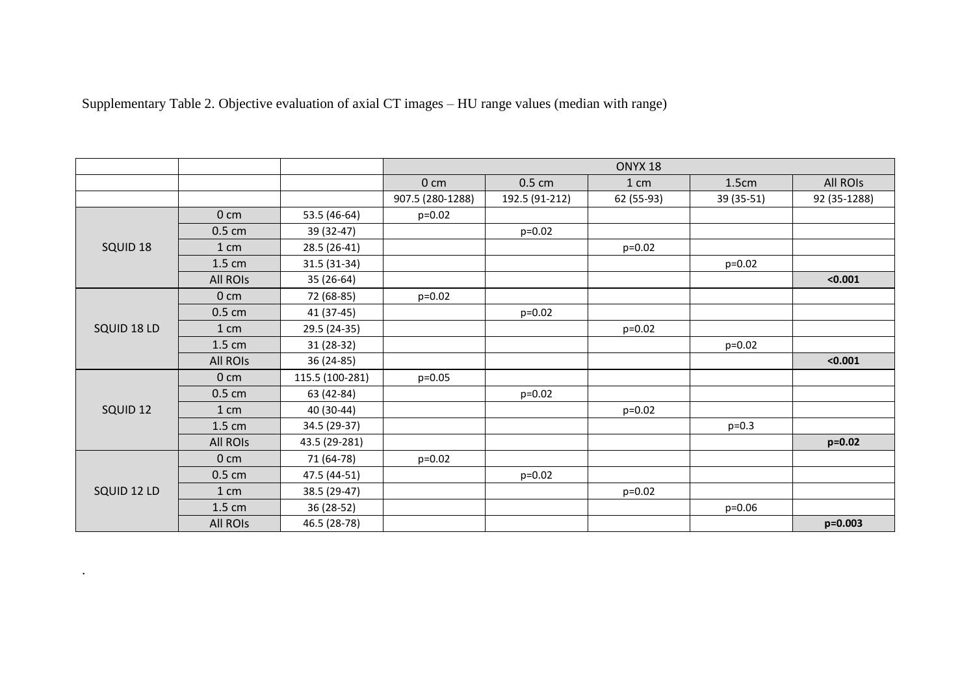| Supplementary Table 2. Objective evaluation of axial CT images - HU range values (median with range) |  |  |  |  |  |  |
|------------------------------------------------------------------------------------------------------|--|--|--|--|--|--|
|                                                                                                      |  |  |  |  |  |  |

. The contract of the contract  $\mathcal{L}_\text{c}$ 

|             |                  |                 | ONYX <sub>18</sub> |                  |            |            |              |
|-------------|------------------|-----------------|--------------------|------------------|------------|------------|--------------|
|             |                  |                 | 0 <sub>cm</sub>    | $0.5 \text{ cm}$ | 1 cm       | 1.5cm      | All ROIs     |
|             |                  |                 | 907.5 (280-1288)   | 192.5 (91-212)   | 62 (55-93) | 39 (35-51) | 92 (35-1288) |
|             | 0 <sub>cm</sub>  | 53.5 (46-64)    | $p=0.02$           |                  |            |            |              |
|             | $0.5 \text{ cm}$ | 39 (32-47)      |                    | $p=0.02$         |            |            |              |
| SQUID 18    | 1 cm             | 28.5 (26-41)    |                    |                  | $p=0.02$   |            |              |
|             | $1.5 \text{ cm}$ | 31.5 (31-34)    |                    |                  |            | $p=0.02$   |              |
|             | All ROIs         | 35 (26-64)      |                    |                  |            |            | < 0.001      |
|             | 0 <sub>cm</sub>  | 72 (68-85)      | $p=0.02$           |                  |            |            |              |
|             | $0.5 \text{ cm}$ | 41 (37-45)      |                    | $p=0.02$         |            |            |              |
| SQUID 18 LD | 1 cm             | 29.5 (24-35)    |                    |                  | $p=0.02$   |            |              |
|             | $1.5 \text{ cm}$ | 31 (28-32)      |                    |                  |            | $p=0.02$   |              |
|             | All ROIs         | 36 (24-85)      |                    |                  |            |            | < 0.001      |
|             | 0 <sub>cm</sub>  | 115.5 (100-281) | $p=0.05$           |                  |            |            |              |
|             | $0.5 \text{ cm}$ | 63 (42-84)      |                    | $p=0.02$         |            |            |              |
| SQUID 12    | 1 cm             | 40 (30-44)      |                    |                  | $p=0.02$   |            |              |
|             | $1.5 \text{ cm}$ | 34.5 (29-37)    |                    |                  |            | $p=0.3$    |              |
|             | <b>All ROIS</b>  | 43.5 (29-281)   |                    |                  |            |            | $p=0.02$     |
|             | 0 <sub>cm</sub>  | 71 (64-78)      | $p=0.02$           |                  |            |            |              |
|             | $0.5 \text{ cm}$ | 47.5 (44-51)    |                    | $p=0.02$         |            |            |              |
| SQUID 12 LD | 1 cm             | 38.5 (29-47)    |                    |                  | $p=0.02$   |            |              |
|             | $1.5 \text{ cm}$ | 36 (28-52)      |                    |                  |            | $p=0.06$   |              |
|             | All ROIs         | 46.5 (28-78)    |                    |                  |            |            | p=0.003      |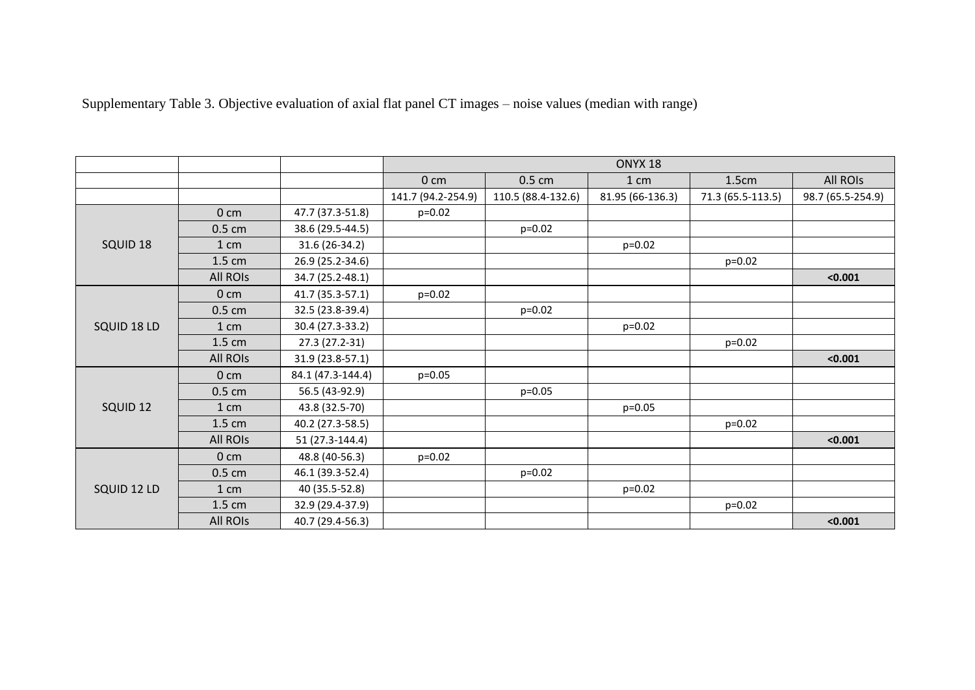| Supplementary Table 3. Objective evaluation of axial flat panel CT images – noise values (median with range) |  |  |  |
|--------------------------------------------------------------------------------------------------------------|--|--|--|
|                                                                                                              |  |  |  |

|             |                    |                   | ONYX <sub>18</sub> |                    |                  |                   |                   |
|-------------|--------------------|-------------------|--------------------|--------------------|------------------|-------------------|-------------------|
|             |                    |                   | 0 <sub>cm</sub>    | $0.5 \text{ cm}$   | 1 cm             | 1.5cm             | All ROIs          |
|             |                    |                   | 141.7 (94.2-254.9) | 110.5 (88.4-132.6) | 81.95 (66-136.3) | 71.3 (65.5-113.5) | 98.7 (65.5-254.9) |
|             | 0 <sub>cm</sub>    | 47.7 (37.3-51.8)  | $p=0.02$           |                    |                  |                   |                   |
|             | $0.5 \text{ cm}$   | 38.6 (29.5-44.5)  |                    | $p=0.02$           |                  |                   |                   |
| SQUID 18    | $1 \, \mathrm{cm}$ | 31.6 (26-34.2)    |                    |                    | $p=0.02$         |                   |                   |
|             | 1.5 cm             | 26.9 (25.2-34.6)  |                    |                    |                  | $p=0.02$          |                   |
|             | All ROIs           | 34.7 (25.2-48.1)  |                    |                    |                  |                   | < 0.001           |
|             | 0 <sub>cm</sub>    | 41.7 (35.3-57.1)  | $p=0.02$           |                    |                  |                   |                   |
|             | $0.5 \text{ cm}$   | 32.5 (23.8-39.4)  |                    | $p=0.02$           |                  |                   |                   |
| SQUID 18 LD | 1 cm               | 30.4 (27.3-33.2)  |                    |                    | $p=0.02$         |                   |                   |
|             | 1.5 cm             | 27.3 (27.2-31)    |                    |                    |                  | $p=0.02$          |                   |
|             | All ROIs           | 31.9 (23.8-57.1)  |                    |                    |                  |                   | < 0.001           |
|             | 0 <sub>cm</sub>    | 84.1 (47.3-144.4) | $p=0.05$           |                    |                  |                   |                   |
|             | $0.5 \text{ cm}$   | 56.5 (43-92.9)    |                    | $p=0.05$           |                  |                   |                   |
| SQUID 12    | 1 cm               | 43.8 (32.5-70)    |                    |                    | $p=0.05$         |                   |                   |
|             | 1.5 cm             | 40.2 (27.3-58.5)  |                    |                    |                  | $p=0.02$          |                   |
|             | <b>All ROIS</b>    | 51 (27.3-144.4)   |                    |                    |                  |                   | < 0.001           |
|             | 0 <sub>cm</sub>    | 48.8 (40-56.3)    | $p=0.02$           |                    |                  |                   |                   |
|             | $0.5 \text{ cm}$   | 46.1 (39.3-52.4)  |                    | $p=0.02$           |                  |                   |                   |
| SQUID 12 LD | 1 cm               | 40 (35.5-52.8)    |                    |                    | $p=0.02$         |                   |                   |
|             | 1.5 cm             | 32.9 (29.4-37.9)  |                    |                    |                  | $p=0.02$          |                   |
|             | <b>All ROIS</b>    | 40.7 (29.4-56.3)  |                    |                    |                  |                   | < 0.001           |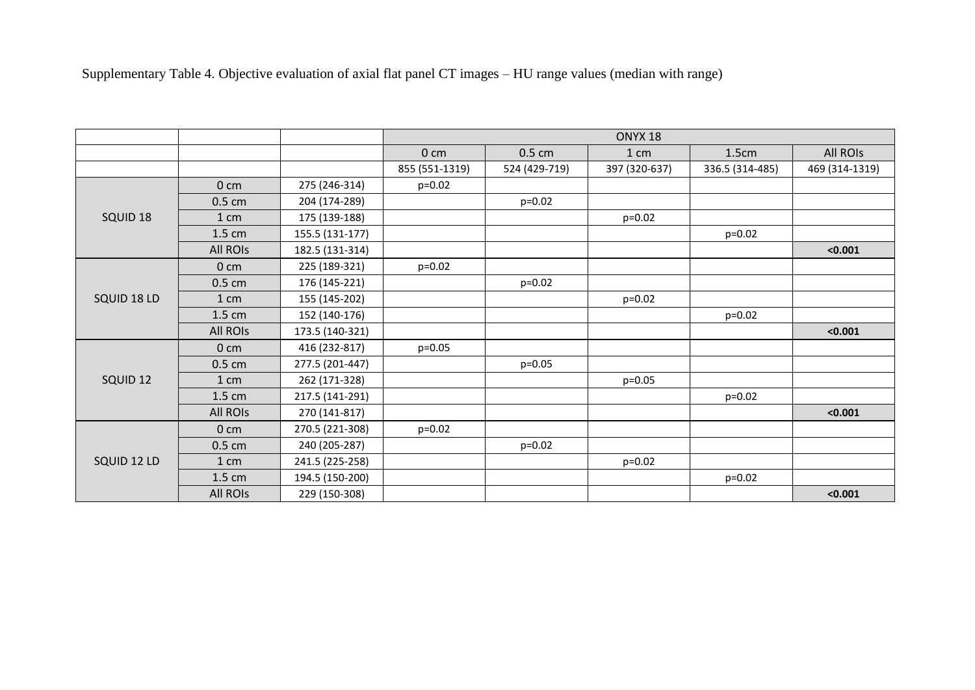|                     |                  |                 |                 |               | ONYX <sub>18</sub> |                 |                |
|---------------------|------------------|-----------------|-----------------|---------------|--------------------|-----------------|----------------|
|                     |                  |                 | 0 <sub>cm</sub> | $0.5$ cm      | 1 cm               | 1.5cm           | All ROIS       |
|                     |                  |                 | 855 (551-1319)  | 524 (429-719) | 397 (320-637)      | 336.5 (314-485) | 469 (314-1319) |
|                     | 0 <sub>cm</sub>  | 275 (246-314)   | $p=0.02$        |               |                    |                 |                |
|                     | $0.5 \text{ cm}$ | 204 (174-289)   |                 | p=0.02        |                    |                 |                |
| SQUID 18            | 1 cm             | 175 (139-188)   |                 |               | $p=0.02$           |                 |                |
|                     | $1.5 \text{ cm}$ | 155.5 (131-177) |                 |               |                    | $p=0.02$        |                |
|                     | All ROIs         | 182.5 (131-314) |                 |               |                    |                 | < 0.001        |
|                     | 0 <sub>cm</sub>  | 225 (189-321)   | $p=0.02$        |               |                    |                 |                |
|                     | $0.5 \text{ cm}$ | 176 (145-221)   |                 | $p=0.02$      |                    |                 |                |
| SQUID 18 LD         | 1 cm             | 155 (145-202)   |                 |               | $p=0.02$           |                 |                |
|                     | $1.5 \text{ cm}$ | 152 (140-176)   |                 |               |                    | $p=0.02$        |                |
|                     | All ROIs         | 173.5 (140-321) |                 |               |                    |                 | < 0.001        |
|                     | 0 <sub>cm</sub>  | 416 (232-817)   | $p=0.05$        |               |                    |                 |                |
|                     | $0.5 \text{ cm}$ | 277.5 (201-447) |                 | $p = 0.05$    |                    |                 |                |
| SQUID <sub>12</sub> | 1 cm             | 262 (171-328)   |                 |               | $p=0.05$           |                 |                |
|                     | $1.5 \text{ cm}$ | 217.5 (141-291) |                 |               |                    | $p=0.02$        |                |
|                     | All ROIs         | 270 (141-817)   |                 |               |                    |                 | < 0.001        |
|                     | 0 <sub>cm</sub>  | 270.5 (221-308) | $p=0.02$        |               |                    |                 |                |
|                     | $0.5 \text{ cm}$ | 240 (205-287)   |                 | p=0.02        |                    |                 |                |
| SQUID 12 LD         | 1 cm             | 241.5 (225-258) |                 |               | $p=0.02$           |                 |                |
|                     | $1.5 \text{ cm}$ | 194.5 (150-200) |                 |               |                    | $p=0.02$        |                |
|                     | All ROIs         | 229 (150-308)   |                 |               |                    |                 | < 0.001        |

Supplementary Table 4. Objective evaluation of axial flat panel CT images – HU range values (median with range)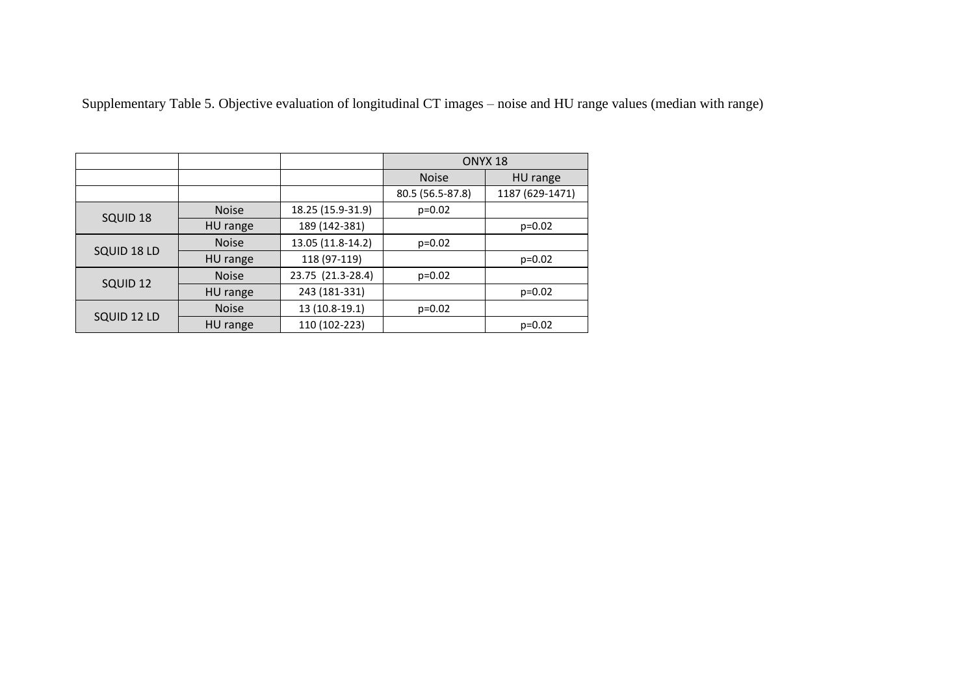Supplementary Table 5. Objective evaluation of longitudinal CT images – noise and HU range values (median with range)

|                     |              |                   | ONYX <sub>18</sub> |                 |
|---------------------|--------------|-------------------|--------------------|-----------------|
|                     |              |                   | <b>Noise</b>       | HU range        |
|                     |              |                   | 80.5 (56.5-87.8)   | 1187 (629-1471) |
| SQUID 18            | <b>Noise</b> | 18.25 (15.9-31.9) | $p=0.02$           |                 |
|                     | HU range     | 189 (142-381)     |                    | $p=0.02$        |
|                     | <b>Noise</b> | 13.05 (11.8-14.2) | $p=0.02$           |                 |
| SQUID 18 LD         | HU range     | 118 (97-119)      |                    | $p=0.02$        |
|                     | <b>Noise</b> | 23.75 (21.3-28.4) | $p=0.02$           |                 |
| SQUID <sub>12</sub> | HU range     | 243 (181-331)     |                    | $p=0.02$        |
| SQUID 12 LD         | <b>Noise</b> | 13 (10.8-19.1)    | $p=0.02$           |                 |
|                     | HU range     | 110 (102-223)     |                    | $p=0.02$        |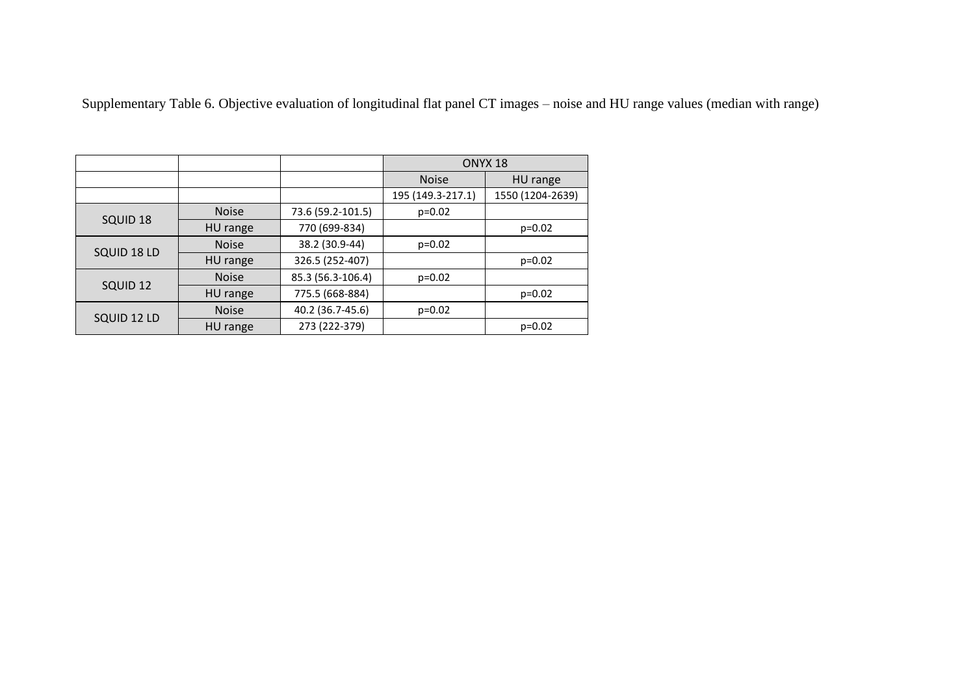Supplementary Table 6. Objective evaluation of longitudinal flat panel CT images – noise and HU range values (median with range)

|             |              |                   | ONYX <sub>18</sub> |                  |  |
|-------------|--------------|-------------------|--------------------|------------------|--|
|             |              |                   | <b>Noise</b>       | HU range         |  |
|             |              |                   | 195 (149.3-217.1)  | 1550 (1204-2639) |  |
| SQUID 18    | <b>Noise</b> | 73.6 (59.2-101.5) | $p=0.02$           |                  |  |
|             | HU range     | 770 (699-834)     |                    | $p=0.02$         |  |
|             | <b>Noise</b> | 38.2 (30.9-44)    | $p=0.02$           |                  |  |
| SQUID 18 LD | HU range     | 326.5 (252-407)   |                    | $p=0.02$         |  |
| SQUID 12    | <b>Noise</b> | 85.3 (56.3-106.4) | $p=0.02$           |                  |  |
|             | HU range     | 775.5 (668-884)   |                    | $p=0.02$         |  |
|             | <b>Noise</b> | 40.2 (36.7-45.6)  | $p=0.02$           |                  |  |
| SQUID 12 LD | HU range     | 273 (222-379)     |                    | $p=0.02$         |  |